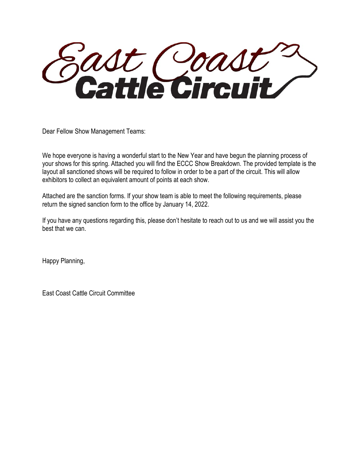Sast Coast?

Dear Fellow Show Management Teams:

We hope everyone is having a wonderful start to the New Year and have begun the planning process of your shows for this spring. Attached you will find the ECCC Show Breakdown. The provided template is the layout all sanctioned shows will be required to follow in order to be a part of the circuit. This will allow exhibitors to collect an equivalent amount of points at each show.

Attached are the sanction forms. If your show team is able to meet the following requirements, please return the signed sanction form to the office by January 14, 2022.

If you have any questions regarding this, please don't hesitate to reach out to us and we will assist you the best that we can.

Happy Planning,

East Coast Cattle Circuit Committee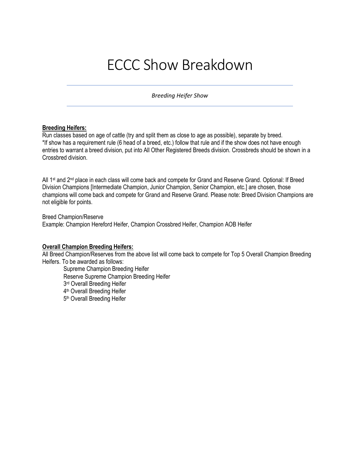# ECCC Show Breakdown

*Breeding Heifer Show*

#### **Breeding Heifers:**

Run classes based on age of cattle (try and split them as close to age as possible), separate by breed. \*If show has a requirement rule (6 head of a breed, etc.) follow that rule and if the show does not have enough entries to warrant a breed division, put into All Other Registered Breeds division. Crossbreds should be shown in a Crossbred division.

All 1<sup>st</sup> and 2<sup>nd</sup> place in each class will come back and compete for Grand and Reserve Grand. Optional: If Breed Division Champions [Intermediate Champion, Junior Champion, Senior Champion, etc.] are chosen, those champions will come back and compete for Grand and Reserve Grand. Please note: Breed Division Champions are not eligible for points.

Breed Champion/Reserve

Example: Champion Hereford Heifer, Champion Crossbred Heifer, Champion AOB Heifer

#### **Overall Champion Breeding Heifers:**

All Breed Champion/Reserves from the above list will come back to compete for Top 5 Overall Champion Breeding Heifers. To be awarded as follows:

Supreme Champion Breeding Heifer Reserve Supreme Champion Breeding Heifer 3<sup>rd</sup> Overall Breeding Heifer 4th Overall Breeding Heifer 5th Overall Breeding Heifer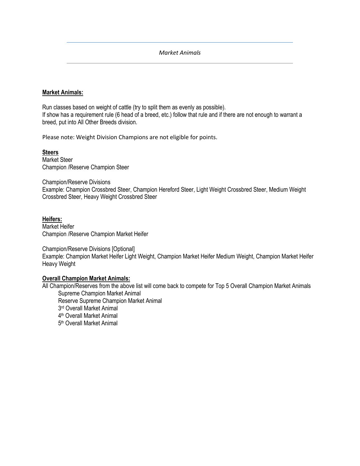# *Market Animals*

# **Market Animals:**

Run classes based on weight of cattle (try to split them as evenly as possible). If show has a requirement rule (6 head of a breed, etc.) follow that rule and if there are not enough to warrant a breed, put into All Other Breeds division.

Please note: Weight Division Champions are not eligible for points.

**Steers** Market Steer Champion /Reserve Champion Steer

Champion/Reserve Divisions Example: Champion Crossbred Steer, Champion Hereford Steer, Light Weight Crossbred Steer, Medium Weight Crossbred Steer, Heavy Weight Crossbred Steer

**Heifers:** Market Heifer Champion /Reserve Champion Market Heifer

Champion/Reserve Divisions [Optional] Example: Champion Market Heifer Light Weight, Champion Market Heifer Medium Weight, Champion Market Heifer Heavy Weight

# **Overall Champion Market Animals:**

All Champion/Reserves from the above list will come back to compete for Top 5 Overall Champion Market Animals Supreme Champion Market Animal Reserve Supreme Champion Market Animal 3<sup>rd</sup> Overall Market Animal 4th Overall Market Animal 5th Overall Market Animal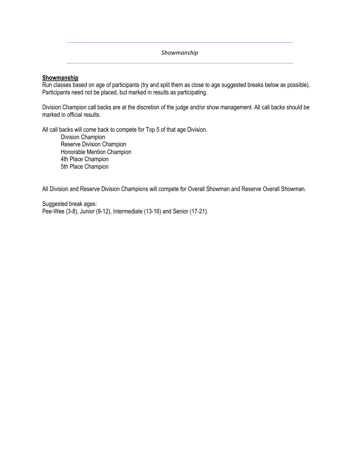*Showmanship*

# **Showmanship**

Run classes based on age of participants (try and split them as close to age suggested breaks below as possible). Participants need not be placed, but marked in results as participating.

Division Champion call backs are at the discretion of the judge and/or show management. All call backs should be marked in official results.

All call backs will come back to compete for Top 5 of that age Division.

Division Champion Reserve Division Champion Honorable Mention Champion 4th Place Champion 5th Place Champion

All Division and Reserve Division Champions will compete for Overall Showman and Reserve Overall Showman.

Suggested break ages: Pee-Wee (3-8), Junior (9-12), Intermediate (13-16) and Senior (17-21).